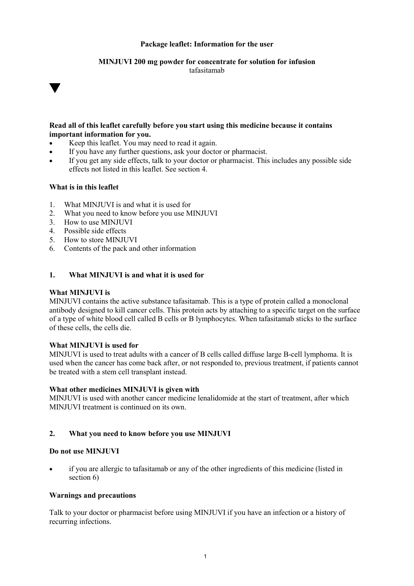### **Package leaflet: Information for the user**

#### **MINJUVI 200 mg powder for concentrate for solution for infusion** tafasitamab

### **Read all of this leaflet carefully before you start using this medicine because it contains important information for you.**

- Keep this leaflet. You may need to read it again.
- If you have any further questions, ask your doctor or pharmacist.
- If you get any side effects, talk to your doctor or pharmacist. This includes any possible side effects not listed in this leaflet. See section 4.

### **What is in this leaflet**

v

- 1. What MINJUVI is and what it is used for
- 2. What you need to know before you use MINJUVI
- 3. How to use MINJUVI<br>4. Possible side effects
- Possible side effects
- 5. How to store MINJUVI
- 6. Contents of the pack and other information

### **1. What MINJUVI is and what it is used for**

#### **What MINJUVI is**

MINJUVI contains the active substance tafasitamab. This is a type of protein called a monoclonal antibody designed to kill cancer cells. This protein acts by attaching to a specific target on the surface of a type of white blood cell called B cells or B lymphocytes. When tafasitamab sticks to the surface of these cells, the cells die.

### **What MINJUVI is used for**

MINJUVI is used to treat adults with a cancer of B cells called diffuse large B-cell lymphoma. It is used when the cancer has come back after, or not responded to, previous treatment, if patients cannot be treated with a stem cell transplant instead.

### **What other medicines MINJUVI is given with**

MINJUVI is used with another cancer medicine lenalidomide at the start of treatment, after which MINJUVI treatment is continued on its own.

### **2. What you need to know before you use MINJUVI**

### **Do not use MINJUVI**

• if you are allergic to tafasitamab or any of the other ingredients of this medicine (listed in section 6)

### **Warnings and precautions**

Talk to your doctor or pharmacist before using MINJUVI if you have an infection or a history of recurring infections.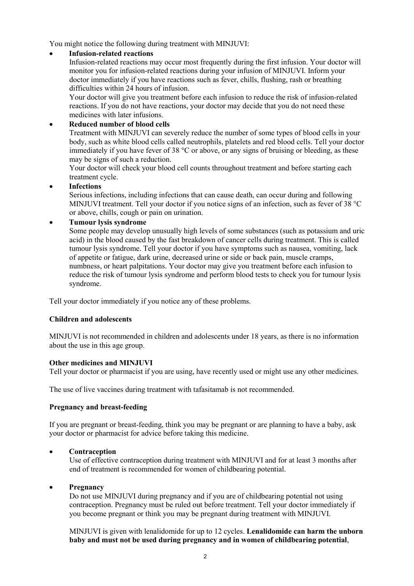You might notice the following during treatment with MINJUVI:

## • **Infusion-related reactions**

Infusion-related reactions may occur most frequently during the first infusion. Your doctor will monitor you for infusion-related reactions during your infusion of MINJUVI. Inform your doctor immediately if you have reactions such as fever, chills, flushing, rash or breathing difficulties within 24 hours of infusion.

Your doctor will give you treatment before each infusion to reduce the risk of infusion-related reactions. If you do not have reactions, your doctor may decide that you do not need these medicines with later infusions.

## • **Reduced number of blood cells**

Treatment with MINJUVI can severely reduce the number of some types of blood cells in your body, such as white blood cells called neutrophils, platelets and red blood cells. Tell your doctor immediately if you have fever of 38  $\degree$ C or above, or any signs of bruising or bleeding, as these may be signs of such a reduction.

Your doctor will check your blood cell counts throughout treatment and before starting each treatment cycle.

### • **Infections**

Serious infections, including infections that can cause death, can occur during and following MINJUVI treatment. Tell your doctor if you notice signs of an infection, such as fever of 38 °C or above, chills, cough or pain on urination.

## • **Tumour lysis syndrome**

Some people may develop unusually high levels of some substances (such as potassium and uric acid) in the blood caused by the fast breakdown of cancer cells during treatment. This is called tumour lysis syndrome. Tell your doctor if you have symptoms such as nausea, vomiting, lack of appetite or fatigue, dark urine, decreased urine or side or back pain, muscle cramps, numbness, or heart palpitations. Your doctor may give you treatment before each infusion to reduce the risk of tumour lysis syndrome and perform blood tests to check you for tumour lysis syndrome.

Tell your doctor immediately if you notice any of these problems.

## **Children and adolescents**

MINJUVI is not recommended in children and adolescents under 18 years, as there is no information about the use in this age group.

### **Other medicines and MINJUVI**

Tell your doctor or pharmacist if you are using, have recently used or might use any other medicines.

The use of live vaccines during treatment with tafasitamab is not recommended.

## **Pregnancy and breast-feeding**

If you are pregnant or breast-feeding, think you may be pregnant or are planning to have a baby, ask your doctor or pharmacist for advice before taking this medicine.

## • **Contraception**

Use of effective contraception during treatment with MINJUVI and for at least 3 months after end of treatment is recommended for women of childbearing potential.

### • **Pregnancy**

Do not use MINJUVI during pregnancy and if you are of childbearing potential not using contraception. Pregnancy must be ruled out before treatment. Tell your doctor immediately if you become pregnant or think you may be pregnant during treatment with MINJUVI.

MINJUVI is given with lenalidomide for up to 12 cycles. **Lenalidomide can harm the unborn baby and must not be used during pregnancy and in women of childbearing potential**,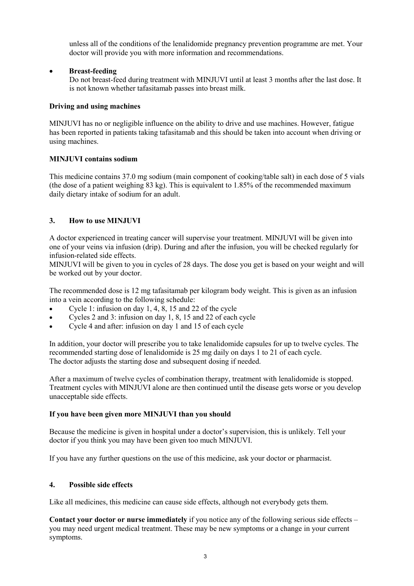unless all of the conditions of the lenalidomide pregnancy prevention programme are met. Your doctor will provide you with more information and recommendations.

## • **Breast-feeding**

Do not breast-feed during treatment with MINJUVI until at least 3 months after the last dose. It is not known whether tafasitamab passes into breast milk.

### **Driving and using machines**

MINJUVI has no or negligible influence on the ability to drive and use machines. However, fatigue has been reported in patients taking tafasitamab and this should be taken into account when driving or using machines.

### **MINJUVI contains sodium**

This medicine contains 37.0 mg sodium (main component of cooking/table salt) in each dose of 5 vials (the dose of a patient weighing 83 kg). This is equivalent to 1.85% of the recommended maximum daily dietary intake of sodium for an adult.

## **3. How to use MINJUVI**

A doctor experienced in treating cancer will supervise your treatment. MINJUVI will be given into one of your veins via infusion (drip). During and after the infusion, you will be checked regularly for infusion-related side effects.

MINJUVI will be given to you in cycles of 28 days. The dose you get is based on your weight and will be worked out by your doctor.

The recommended dose is 12 mg tafasitamab per kilogram body weight. This is given as an infusion into a vein according to the following schedule:

- Cycle 1: infusion on day 1, 4, 8, 15 and 22 of the cycle
- Cycles 2 and 3: infusion on day 1, 8, 15 and 22 of each cycle
- Cycle 4 and after: infusion on day 1 and 15 of each cycle

In addition, your doctor will prescribe you to take lenalidomide capsules for up to twelve cycles. The recommended starting dose of lenalidomide is 25 mg daily on days 1 to 21 of each cycle. The doctor adjusts the starting dose and subsequent dosing if needed.

After a maximum of twelve cycles of combination therapy, treatment with lenalidomide is stopped. Treatment cycles with MINJUVI alone are then continued until the disease gets worse or you develop unacceptable side effects.

### **If you have been given more MINJUVI than you should**

Because the medicine is given in hospital under a doctor's supervision, this is unlikely. Tell your doctor if you think you may have been given too much MINJUVI.

If you have any further questions on the use of this medicine, ask your doctor or pharmacist.

### **4. Possible side effects**

Like all medicines, this medicine can cause side effects, although not everybody gets them.

**Contact your doctor or nurse immediately** if you notice any of the following serious side effects – you may need urgent medical treatment. These may be new symptoms or a change in your current symptoms.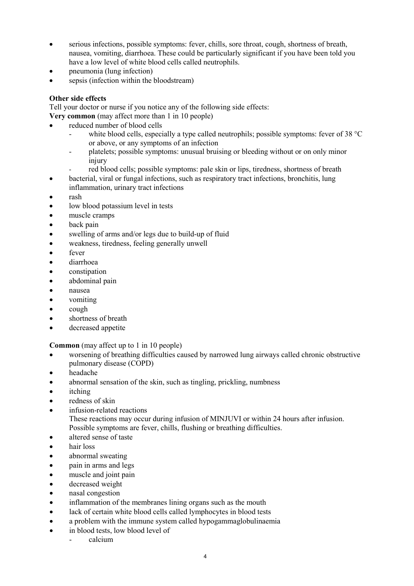- serious infections, possible symptoms: fever, chills, sore throat, cough, shortness of breath, nausea, vomiting, diarrhoea. These could be particularly significant if you have been told you have a low level of white blood cells called neutrophils.
- pneumonia (lung infection)
- sepsis (infection within the bloodstream)

# **Other side effects**

Tell your doctor or nurse if you notice any of the following side effects:

**Very common** (may affect more than 1 in 10 people)

- reduced number of blood cells
	- white blood cells, especially a type called neutrophils; possible symptoms: fever of  $38 \text{ °C}$ or above, or any symptoms of an infection
	- platelets; possible symptoms: unusual bruising or bleeding without or on only minor injury
	- red blood cells; possible symptoms: pale skin or lips, tiredness, shortness of breath
- bacterial, viral or fungal infections, such as respiratory tract infections, bronchitis, lung inflammation, urinary tract infections
- rash
- low blood potassium level in tests
- muscle cramps
- back pain
- swelling of arms and/or legs due to build-up of fluid
- weakness, tiredness, feeling generally unwell
- fever
- diarrhoea
- constipation
- abdominal pain
- nausea
- vomiting
- cough
- shortness of breath
- decreased appetite

**Common** (may affect up to 1 in 10 people)

- worsening of breathing difficulties caused by narrowed lung airways called chronic obstructive pulmonary disease (COPD)
- headache
- abnormal sensation of the skin, such as tingling, prickling, numbness
- itching
- redness of skin
- infusion-related reactions These reactions may occur during infusion of MINJUVI or within 24 hours after infusion. Possible symptoms are fever, chills, flushing or breathing difficulties.
- altered sense of taste
- hair loss
- abnormal sweating
- pain in arms and legs
- muscle and joint pain
- decreased weight
- nasal congestion
- inflammation of the membranes lining organs such as the mouth
- lack of certain white blood cells called lymphocytes in blood tests
- a problem with the immune system called hypogammaglobulinaemia
- in blood tests, low blood level of
	- calcium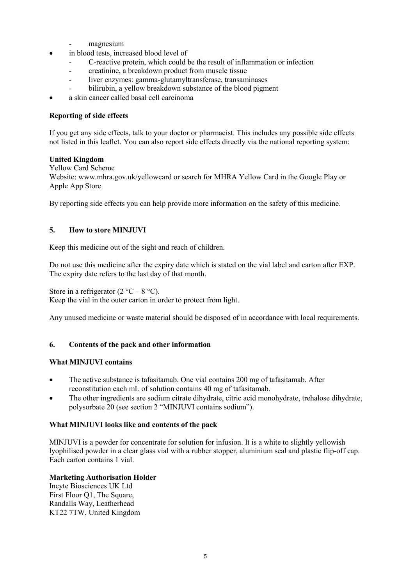- magnesium
- in blood tests, increased blood level of
	- C-reactive protein, which could be the result of inflammation or infection
	- creatinine, a breakdown product from muscle tissue
	- liver enzymes: gamma-glutamyltransferase, transaminases
	- bilirubin, a yellow breakdown substance of the blood pigment
- a skin cancer called basal cell carcinoma

### **Reporting of side effects**

If you get any side effects, talk to your doctor or pharmacist. This includes any possible side effects not listed in this leaflet. You can also report side effects directly via the national reporting system:

### **United Kingdom**

#### Yellow Card Scheme

Website: www.mhra.gov.uk/yellowcard or search for MHRA Yellow Card in the Google Play or Apple App Store

By reporting side effects you can help provide more information on the safety of this medicine.

## **5. How to store MINJUVI**

Keep this medicine out of the sight and reach of children.

Do not use this medicine after the expiry date which is stated on the vial label and carton after EXP. The expiry date refers to the last day of that month.

Store in a refrigerator  $(2 \degree C - 8 \degree C)$ .

Keep the vial in the outer carton in order to protect from light.

Any unused medicine or waste material should be disposed of in accordance with local requirements.

## **6. Contents of the pack and other information**

### **What MINJUVI contains**

- The active substance is tafasitamab. One vial contains 200 mg of tafasitamab. After reconstitution each mL of solution contains 40 mg of tafasitamab.
- The other ingredients are sodium citrate dihydrate, citric acid monohydrate, trehalose dihydrate, polysorbate 20 (see section 2 "MINJUVI contains sodium").

### **What MINJUVI looks like and contents of the pack**

MINJUVI is a powder for concentrate for solution for infusion. It is a white to slightly yellowish lyophilised powder in a clear glass vial with a rubber stopper, aluminium seal and plastic flip-off cap. Each carton contains 1 vial.

## **Marketing Authorisation Holder**

Incyte Biosciences UK Ltd First Floor Q1, The Square, Randalls Way, Leatherhead KT22 7TW, United Kingdom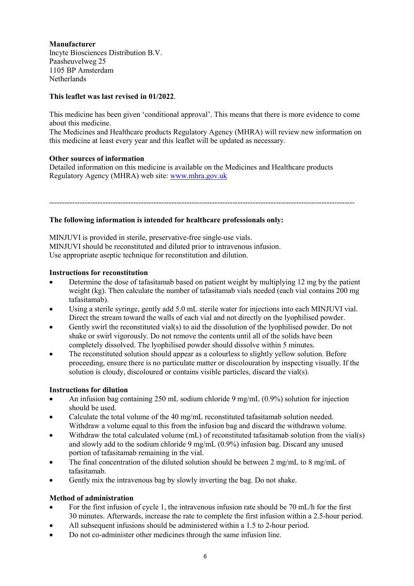# **Manufacturer**

Incyte Biosciences Distribution B.V. Paasheuvelweg 25 1105 BP Amsterdam **Netherlands** 

## **This leaflet was last revised in 01/2022**.

This medicine has been given 'conditional approval'. This means that there is more evidence to come about this medicine.

The Medicines and Healthcare products Regulatory Agency (MHRA) will review new information on this medicine at least every year and this leaflet will be updated as necessary.

### **Other sources of information**

Detailed information on this medicine is available on the Medicines and Healthcare products Regulatory Agency (MHRA) web site: www.mhra.gov.uk

------------------------------------------------------------------------------------------------------------------------

### **The following information is intended for healthcare professionals only:**

MINJUVI is provided in sterile, preservative-free single-use vials. MINJUVI should be reconstituted and diluted prior to intravenous infusion. Use appropriate aseptic technique for reconstitution and dilution.

### **Instructions for reconstitution**

- Determine the dose of tafasitamab based on patient weight by multiplying 12 mg by the patient weight (kg). Then calculate the number of tafasitamab vials needed (each vial contains 200 mg tafasitamab).
- Using a sterile syringe, gently add 5.0 mL sterile water for injections into each MINJUVI vial. Direct the stream toward the walls of each vial and not directly on the lyophilised powder.
- Gently swirl the reconstituted vial(s) to aid the dissolution of the lyophilised powder. Do not shake or swirl vigorously. Do not remove the contents until all of the solids have been completely dissolved. The lyophilised powder should dissolve within 5 minutes.
- The reconstituted solution should appear as a colourless to slightly yellow solution. Before proceeding, ensure there is no particulate matter or discolouration by inspecting visually. If the solution is cloudy, discoloured or contains visible particles, discard the vial(s).

### **Instructions for dilution**

- An infusion bag containing 250 mL sodium chloride 9 mg/mL  $(0.9\%)$  solution for injection should be used.
- Calculate the total volume of the 40 mg/mL reconstituted tafasitamab solution needed. Withdraw a volume equal to this from the infusion bag and discard the withdrawn volume.
- Withdraw the total calculated volume (mL) of reconstituted tafasitamab solution from the vial(s) and slowly add to the sodium chloride 9 mg/mL (0.9%) infusion bag. Discard any unused portion of tafasitamab remaining in the vial.
- The final concentration of the diluted solution should be between 2 mg/mL to 8 mg/mL of tafasitamab.
- Gently mix the intravenous bag by slowly inverting the bag. Do not shake.

## **Method of administration**

- For the first infusion of cycle 1, the intravenous infusion rate should be 70 mL/h for the first 30 minutes. Afterwards, increase the rate to complete the first infusion within a 2.5-hour period.
- All subsequent infusions should be administered within a 1.5 to 2-hour period.
- Do not co-administer other medicines through the same infusion line.